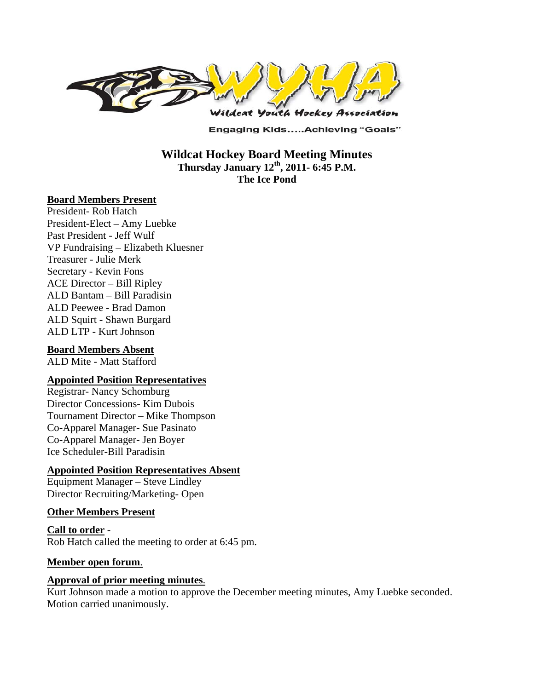

**Engaging Kids.....Achieving "Goals"** 

**Wildcat Hockey Board Meeting Minutes Thursday January 12th, 2011- 6:45 P.M. The Ice Pond** 

#### **Board Members Present**

President- Rob Hatch President-Elect – Amy Luebke Past President - Jeff Wulf VP Fundraising – Elizabeth Kluesner Treasurer - Julie Merk Secretary - Kevin Fons ACE Director – Bill Ripley ALD Bantam – Bill Paradisin ALD Peewee - Brad Damon ALD Squirt - Shawn Burgard ALD LTP - Kurt Johnson

## **Board Members Absent**

ALD Mite - Matt Stafford

## **Appointed Position Representatives**

Registrar- Nancy Schomburg Director Concessions- Kim Dubois Tournament Director – Mike Thompson Co-Apparel Manager- Sue Pasinato Co-Apparel Manager- Jen Boyer Ice Scheduler-Bill Paradisin

## **Appointed Position Representatives Absent**

Equipment Manager – Steve Lindley Director Recruiting/Marketing- Open

## **Other Members Present**

**Call to order** - Rob Hatch called the meeting to order at 6:45 pm.

## **Member open forum**.

## **Approval of prior meeting minutes**.

Kurt Johnson made a motion to approve the December meeting minutes, Amy Luebke seconded. Motion carried unanimously.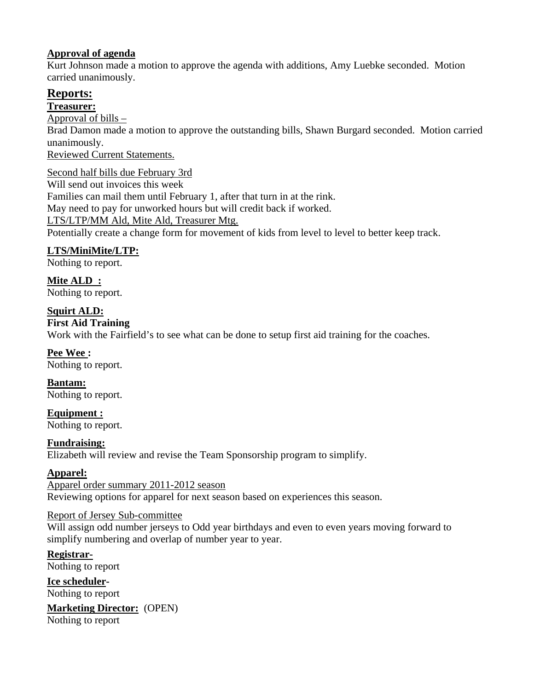# **Approval of agenda**

Kurt Johnson made a motion to approve the agenda with additions, Amy Luebke seconded. Motion carried unanimously.

# **Reports:**

**Treasurer:** 

Approval of bills –

Brad Damon made a motion to approve the outstanding bills, Shawn Burgard seconded. Motion carried unanimously.

Reviewed Current Statements.

Second half bills due February 3rd Will send out invoices this week Families can mail them until February 1, after that turn in at the rink. May need to pay for unworked hours but will credit back if worked. LTS/LTP/MM Ald, Mite Ald, Treasurer Mtg. Potentially create a change form for movement of kids from level to level to better keep track.

# **LTS/MiniMite/LTP:**

Nothing to report.

**Mite ALD :**  Nothing to report.

# **Squirt ALD:**

# **First Aid Training**

Work with the Fairfield's to see what can be done to setup first aid training for the coaches.

**Pee Wee :**  Nothing to report.

**Bantam:**  Nothing to report.

**Equipment :**  Nothing to report.

# **Fundraising:**

Elizabeth will review and revise the Team Sponsorship program to simplify.

# **Apparel:**

Apparel order summary 2011-2012 season Reviewing options for apparel for next season based on experiences this season.

# Report of Jersey Sub-committee

Will assign odd number jerseys to Odd year birthdays and even to even years moving forward to simplify numbering and overlap of number year to year.

**Registrar-**Nothing to report

**Ice scheduler-**Nothing to report

**Marketing Director:** (OPEN) Nothing to report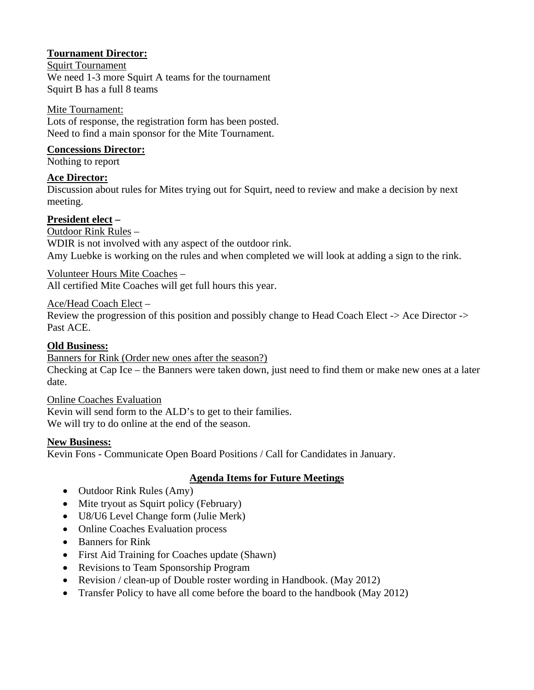# **Tournament Director:**

#### Squirt Tournament

We need 1-3 more Squirt A teams for the tournament Squirt B has a full 8 teams

## Mite Tournament:

Lots of response, the registration form has been posted. Need to find a main sponsor for the Mite Tournament.

## **Concessions Director:**

Nothing to report

## **Ace Director:**

Discussion about rules for Mites trying out for Squirt, need to review and make a decision by next meeting.

## **President elect –**

Outdoor Rink Rules –

WDIR is not involved with any aspect of the outdoor rink. Amy Luebke is working on the rules and when completed we will look at adding a sign to the rink.

Volunteer Hours Mite Coaches –

All certified Mite Coaches will get full hours this year.

Ace/Head Coach Elect –

Review the progression of this position and possibly change to Head Coach Elect -> Ace Director -> Past ACE.

## **Old Business:**

Banners for Rink (Order new ones after the season?)

Checking at Cap Ice – the Banners were taken down, just need to find them or make new ones at a later date.

Online Coaches Evaluation Kevin will send form to the ALD's to get to their families. We will try to do online at the end of the season.

## **New Business:**

Kevin Fons - Communicate Open Board Positions / Call for Candidates in January.

# **Agenda Items for Future Meetings**

- Outdoor Rink Rules (Amy)
- Mite tryout as Squirt policy (February)
- U8/U6 Level Change form (Julie Merk)
- Online Coaches Evaluation process
- Banners for Rink
- First Aid Training for Coaches update (Shawn)
- Revisions to Team Sponsorship Program
- Revision / clean-up of Double roster wording in Handbook. (May 2012)
- Transfer Policy to have all come before the board to the handbook (May 2012)